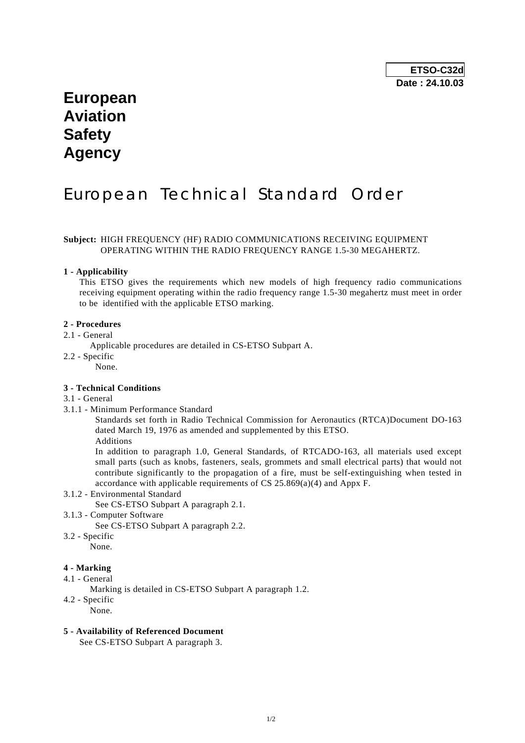# **European Aviation Safety Agency**

# European Technical Standard Order

### **Subject:** HIGH FREQUENCY (HF) RADIO COMMUNICATIONS RECEIVING EQUIPMENT OPERATING WITHIN THE RADIO FREQUENCY RANGE 1.5-30 MEGAHERTZ.

#### **1 - Applicability**

 This ETSO gives the requirements which new models of high frequency radio communications receiving equipment operating within the radio frequency range 1.5-30 megahertz must meet in order to be identified with the applicable ETSO marking.

#### **2 - Procedures**

#### 2.1 - General

Applicable procedures are detailed in CS-ETSO Subpart A.

- 2.2 Specific
	- None.

#### **3 - Technical Conditions**

#### 3.1 - General

3.1.1 - Minimum Performance Standard

 Standards set forth in Radio Technical Commission for Aeronautics (RTCA)Document DO-163 dated March 19, 1976 as amended and supplemented by this ETSO.

Additions

 In addition to paragraph 1.0, General Standards, of RTCADO-163, all materials used except small parts (such as knobs, fasteners, seals, grommets and small electrical parts) that would not contribute significantly to the propagation of a fire, must be self-extinguishing when tested in accordance with applicable requirements of CS 25.869(a)(4) and Appx F.

### 3.1.2 - Environmental Standard

See CS-ETSO Subpart A paragraph 2.1.

3.1.3 - Computer Software

See CS-ETSO Subpart A paragraph 2.2.

- 3.2 Specific
	- None.

## **4 - Marking**

- 4.1 General
	- Marking is detailed in CS-ETSO Subpart A paragraph 1.2.
- 4.2 Specific
	- None.

#### **5 - Availability of Referenced Document**

See CS-ETSO Subpart A paragraph 3.